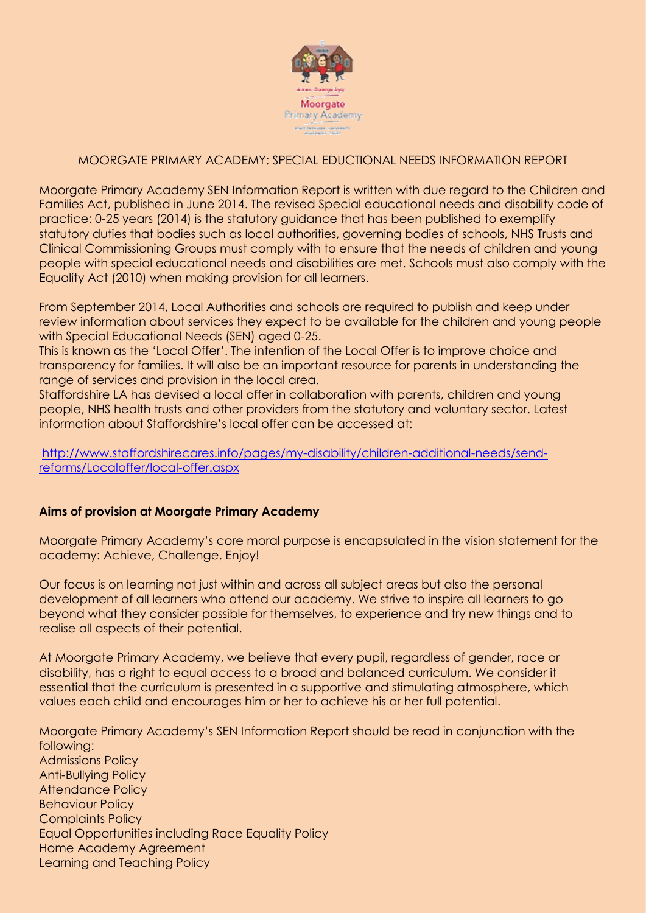

# MOORGATE PRIMARY ACADEMY: SPECIAL EDUCTIONAL NEEDS INFORMATION REPORT

Moorgate Primary Academy SEN Information Report is written with due regard to the Children and Families Act, published in June 2014. The revised Special educational needs and disability code of practice: 0-25 years (2014) is the statutory guidance that has been published to exemplify statutory duties that bodies such as local authorities, governing bodies of schools, NHS Trusts and Clinical Commissioning Groups must comply with to ensure that the needs of children and young people with special educational needs and disabilities are met. Schools must also comply with the Equality Act (2010) when making provision for all learners.

From September 2014, Local Authorities and schools are required to publish and keep under review information about services they expect to be available for the children and young people with Special Educational Needs (SEN) aged 0-25.

This is known as the 'Local Offer'. The intention of the Local Offer is to improve choice and transparency for families. It will also be an important resource for parents in understanding the range of services and provision in the local area.

Staffordshire LA has devised a local offer in collaboration with parents, children and young people, NHS health trusts and other providers from the statutory and voluntary sector. Latest information about Staffordshire's local offer can be accessed at:

[http://www.staffordshirecares.info/pages/my-disability/children-additional-needs/send](http://www.staffordshirecares.info/pages/my-disability/children-additional-needs/send-reforms/Localoffer/local-offer.aspx)[reforms/Localoffer/local-offer.aspx](http://www.staffordshirecares.info/pages/my-disability/children-additional-needs/send-reforms/Localoffer/local-offer.aspx)

### **Aims of provision at Moorgate Primary Academy**

Moorgate Primary Academy's core moral purpose is encapsulated in the vision statement for the academy: Achieve, Challenge, Enjoy!

Our focus is on learning not just within and across all subject areas but also the personal development of all learners who attend our academy. We strive to inspire all learners to go beyond what they consider possible for themselves, to experience and try new things and to realise all aspects of their potential.

At Moorgate Primary Academy, we believe that every pupil, regardless of gender, race or disability, has a right to equal access to a broad and balanced curriculum. We consider it essential that the curriculum is presented in a supportive and stimulating atmosphere, which values each child and encourages him or her to achieve his or her full potential.

Moorgate Primary Academy's SEN Information Report should be read in conjunction with the following:

Admissions Policy Anti-Bullying Policy Attendance Policy Behaviour Policy Complaints Policy Equal Opportunities including Race Equality Policy Home Academy Agreement Learning and Teaching Policy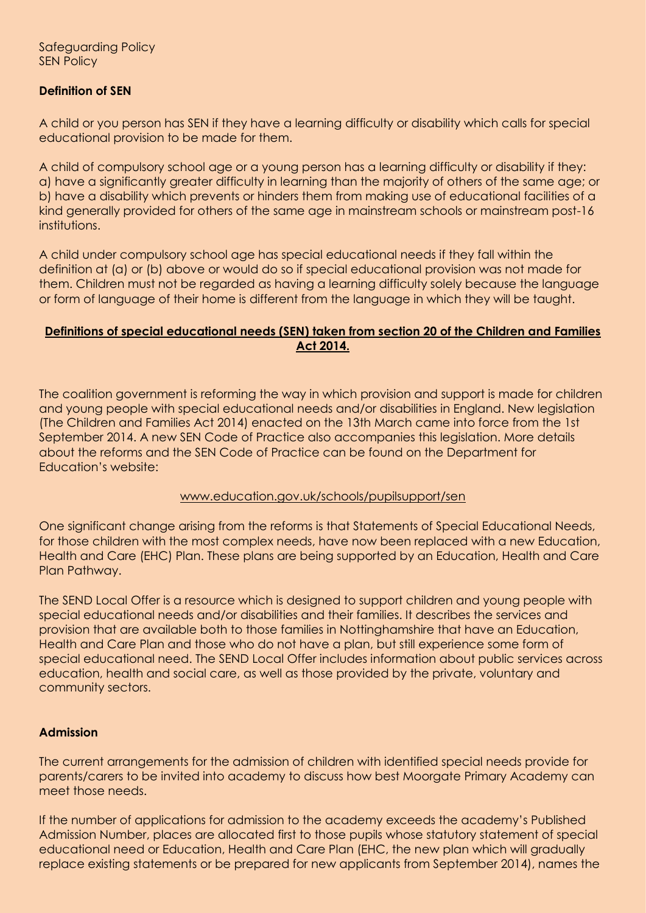# **Definition of SEN**

A child or you person has SEN if they have a learning difficulty or disability which calls for special educational provision to be made for them.

A child of compulsory school age or a young person has a learning difficulty or disability if they: a) have a significantly greater difficulty in learning than the majority of others of the same age; or b) have a disability which prevents or hinders them from making use of educational facilities of a kind generally provided for others of the same age in mainstream schools or mainstream post-16 institutions.

A child under compulsory school age has special educational needs if they fall within the definition at (a) or (b) above or would do so if special educational provision was not made for them. Children must not be regarded as having a learning difficulty solely because the language or form of language of their home is different from the language in which they will be taught.

## **Definitions of special educational needs (SEN) taken from section 20 of the Children and Families Act 2014.**

The coalition government is reforming the way in which provision and support is made for children and young people with special educational needs and/or disabilities in England. New legislation (The Children and Families Act 2014) enacted on the 13th March came into force from the 1st September 2014. A new SEN Code of Practice also accompanies this legislation. More details about the reforms and the SEN Code of Practice can be found on the Department for Education's website:

### www.education.gov.uk/schools/pupilsupport/sen

One significant change arising from the reforms is that Statements of Special Educational Needs, for those children with the most complex needs, have now been replaced with a new Education, Health and Care (EHC) Plan. These plans are being supported by an Education, Health and Care Plan Pathway.

The SEND Local Offer is a resource which is designed to support children and young people with special educational needs and/or disabilities and their families. It describes the services and provision that are available both to those families in Nottinghamshire that have an Education, Health and Care Plan and those who do not have a plan, but still experience some form of special educational need. The SEND Local Offer includes information about public services across education, health and social care, as well as those provided by the private, voluntary and community sectors.

# **Admission**

The current arrangements for the admission of children with identified special needs provide for parents/carers to be invited into academy to discuss how best Moorgate Primary Academy can meet those needs.

If the number of applications for admission to the academy exceeds the academy's Published Admission Number, places are allocated first to those pupils whose statutory statement of special educational need or Education, Health and Care Plan (EHC, the new plan which will gradually replace existing statements or be prepared for new applicants from September 2014), names the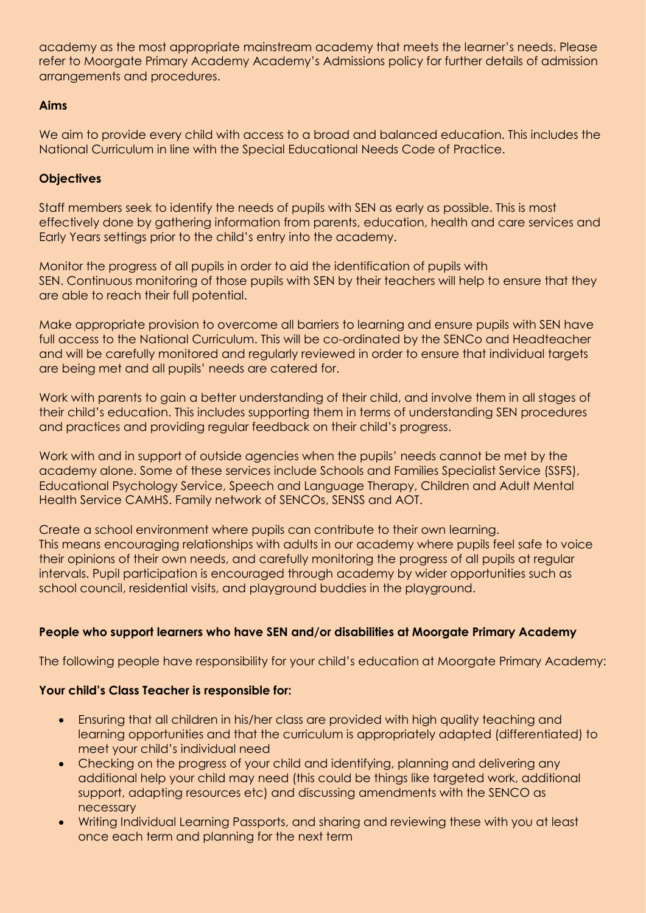academy as the most appropriate mainstream academy that meets the learner's needs. Please refer to Moorgate Primary Academy Academy's Admissions policy for further details of admission arrangements and procedures.

# **Aims**

We aim to provide every child with access to a broad and balanced education. This includes the National Curriculum in line with the Special Educational Needs Code of Practice.

# **Objectives**

Staff members seek to identify the needs of pupils with SEN as early as possible. This is most effectively done by gathering information from parents, education, health and care services and Early Years settings prior to the child's entry into the academy.

Monitor the progress of all pupils in order to aid the identification of pupils with SEN. Continuous monitoring of those pupils with SEN by their teachers will help to ensure that they are able to reach their full potential.

Make appropriate provision to overcome all barriers to learning and ensure pupils with SEN have full access to the National Curriculum. This will be co-ordinated by the SENCo and Headteacher and will be carefully monitored and regularly reviewed in order to ensure that individual targets are being met and all pupils' needs are catered for.

Work with parents to gain a better understanding of their child, and involve them in all stages of their child's education. This includes supporting them in terms of understanding SEN procedures and practices and providing regular feedback on their child's progress.

Work with and in support of outside agencies when the pupils' needs cannot be met by the academy alone. Some of these services include Schools and Families Specialist Service (SSFS), Educational Psychology Service, Speech and Language Therapy, Children and Adult Mental Health Service CAMHS. Family network of SENCOs, SENSS and AOT.

Create a school environment where pupils can contribute to their own learning. This means encouraging relationships with adults in our academy where pupils feel safe to voice their opinions of their own needs, and carefully monitoring the progress of all pupils at regular intervals. Pupil participation is encouraged through academy by wider opportunities such as school council, residential visits, and playground buddies in the playground.

# **People who support learners who have SEN and/or disabilities at Moorgate Primary Academy**

The following people have responsibility for your child's education at Moorgate Primary Academy:

# **Your child's Class Teacher is responsible for:**

- Ensuring that all children in his/her class are provided with high quality teaching and learning opportunities and that the curriculum is appropriately adapted (differentiated) to meet your child's individual need
- Checking on the progress of your child and identifying, planning and delivering any additional help your child may need (this could be things like targeted work, additional support, adapting resources etc) and discussing amendments with the SENCO as necessary
- Writing Individual Learning Passports, and sharing and reviewing these with you at least once each term and planning for the next term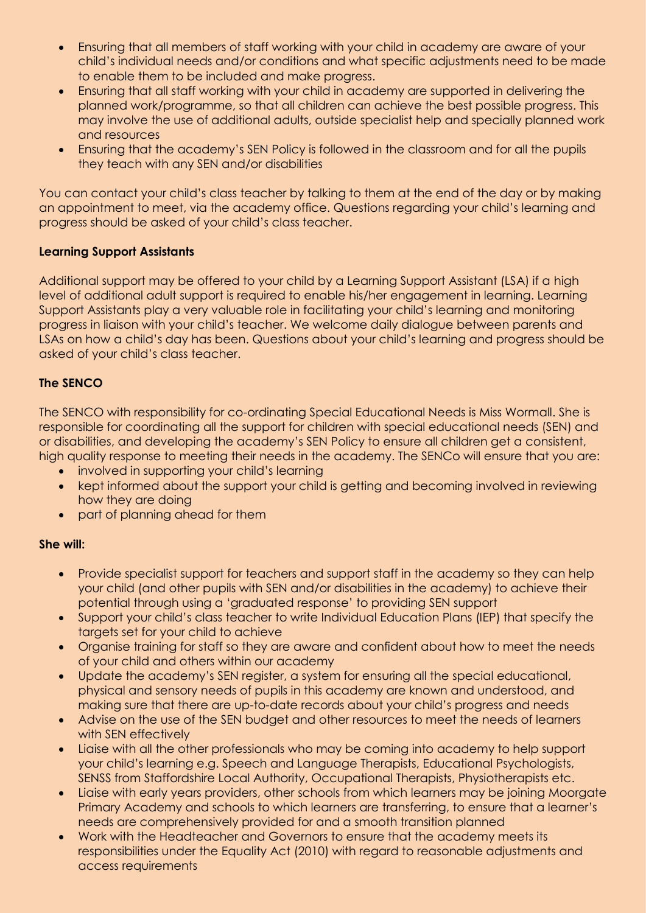- Ensuring that all members of staff working with your child in academy are aware of your child's individual needs and/or conditions and what specific adjustments need to be made to enable them to be included and make progress.
- Ensuring that all staff working with your child in academy are supported in delivering the planned work/programme, so that all children can achieve the best possible progress. This may involve the use of additional adults, outside specialist help and specially planned work and resources
- Ensuring that the academy's SEN Policy is followed in the classroom and for all the pupils they teach with any SEN and/or disabilities

You can contact your child's class teacher by talking to them at the end of the day or by making an appointment to meet, via the academy office. Questions regarding your child's learning and progress should be asked of your child's class teacher.

# **Learning Support Assistants**

Additional support may be offered to your child by a Learning Support Assistant (LSA) if a high level of additional adult support is required to enable his/her engagement in learning. Learning Support Assistants play a very valuable role in facilitating your child's learning and monitoring progress in liaison with your child's teacher. We welcome daily dialogue between parents and LSAs on how a child's day has been. Questions about your child's learning and progress should be asked of your child's class teacher.

# **The SENCO**

The SENCO with responsibility for co-ordinating Special Educational Needs is Miss Wormall. She is responsible for coordinating all the support for children with special educational needs (SEN) and or disabilities, and developing the academy's SEN Policy to ensure all children get a consistent, high quality response to meeting their needs in the academy. The SENCo will ensure that you are:

- involved in supporting your child's learning
- kept informed about the support your child is getting and becoming involved in reviewing how they are doing
- part of planning ahead for them

# **She will:**

- Provide specialist support for teachers and support staff in the academy so they can help your child (and other pupils with SEN and/or disabilities in the academy) to achieve their potential through using a 'graduated response' to providing SEN support
- Support your child's class teacher to write Individual Education Plans (IEP) that specify the targets set for your child to achieve
- Organise training for staff so they are aware and confident about how to meet the needs of your child and others within our academy
- Update the academy's SEN register, a system for ensuring all the special educational, physical and sensory needs of pupils in this academy are known and understood, and making sure that there are up-to-date records about your child's progress and needs
- Advise on the use of the SEN budget and other resources to meet the needs of learners with SEN effectively
- Liaise with all the other professionals who may be coming into academy to help support your child's learning e.g. Speech and Language Therapists, Educational Psychologists, SENSS from Staffordshire Local Authority, Occupational Therapists, Physiotherapists etc.
- Liaise with early years providers, other schools from which learners may be joining Moorgate Primary Academy and schools to which learners are transferring, to ensure that a learner's needs are comprehensively provided for and a smooth transition planned
- Work with the Headteacher and Governors to ensure that the academy meets its responsibilities under the Equality Act (2010) with regard to reasonable adjustments and access requirements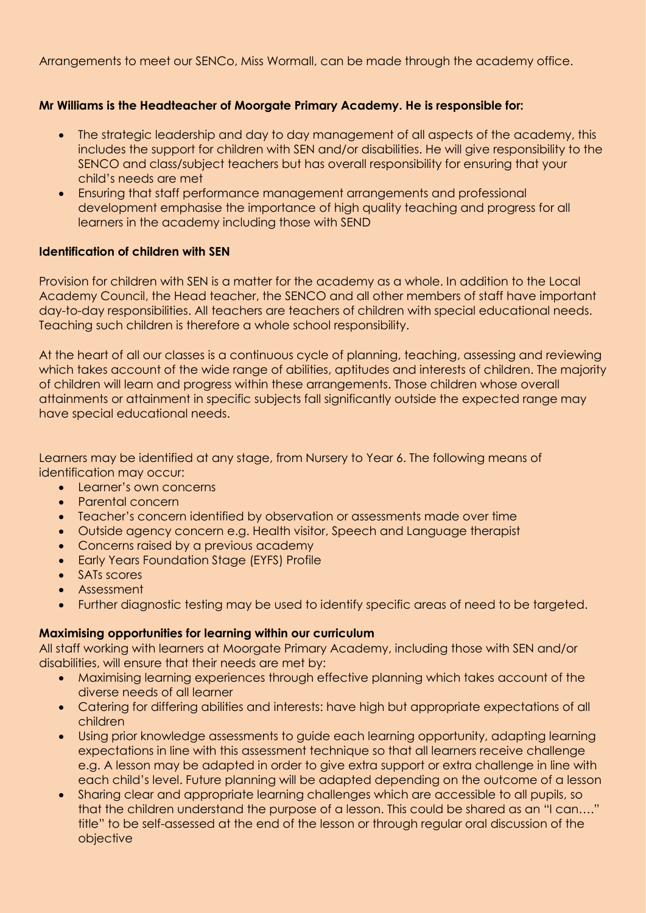Arrangements to meet our SENCo, Miss Wormall, can be made through the academy office.

## **Mr Williams is the Headteacher of Moorgate Primary Academy. He is responsible for:**

- The strategic leadership and day to day management of all aspects of the academy, this includes the support for children with SEN and/or disabilities. He will give responsibility to the SENCO and class/subject teachers but has overall responsibility for ensuring that your child's needs are met
- Ensuring that staff performance management arrangements and professional development emphasise the importance of high quality teaching and progress for all learners in the academy including those with SEND

### **Identification of children with SEN**

Provision for children with SEN is a matter for the academy as a whole. In addition to the Local Academy Council, the Head teacher, the SENCO and all other members of staff have important day-to-day responsibilities. All teachers are teachers of children with special educational needs. Teaching such children is therefore a whole school responsibility.

At the heart of all our classes is a continuous cycle of planning, teaching, assessing and reviewing which takes account of the wide range of abilities, aptitudes and interests of children. The majority of children will learn and progress within these arrangements. Those children whose overall attainments or attainment in specific subjects fall significantly outside the expected range may have special educational needs.

Learners may be identified at any stage, from Nursery to Year 6. The following means of identification may occur:

- Learner's own concerns
- Parental concern
- Teacher's concern identified by observation or assessments made over time
- Outside agency concern e.g. Health visitor, Speech and Language therapist
- Concerns raised by a previous academy
- Early Years Foundation Stage (EYFS) Profile
- SATs scores
- Assessment
- Further diagnostic testing may be used to identify specific areas of need to be targeted.

### **Maximising opportunities for learning within our curriculum**

All staff working with learners at Moorgate Primary Academy, including those with SEN and/or disabilities, will ensure that their needs are met by:

- Maximising learning experiences through effective planning which takes account of the diverse needs of all learner
- Catering for differing abilities and interests: have high but appropriate expectations of all children
- Using prior knowledge assessments to guide each learning opportunity, adapting learning expectations in line with this assessment technique so that all learners receive challenge e.g. A lesson may be adapted in order to give extra support or extra challenge in line with each child's level. Future planning will be adapted depending on the outcome of a lesson
- Sharing clear and appropriate learning challenges which are accessible to all pupils, so that the children understand the purpose of a lesson. This could be shared as an "I can…." title" to be self-assessed at the end of the lesson or through regular oral discussion of the objective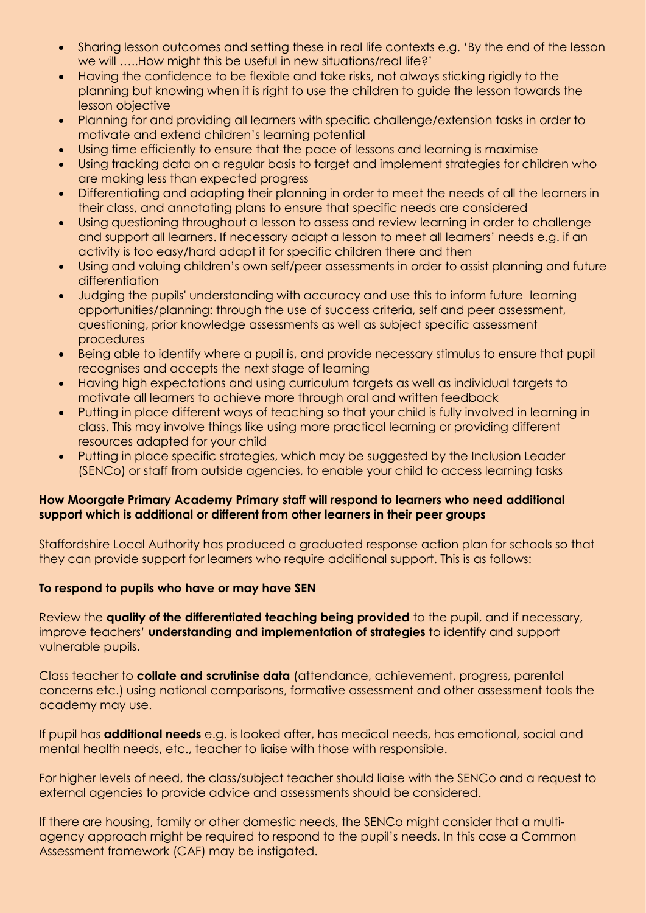- Sharing lesson outcomes and setting these in real life contexts e.g. 'By the end of the lesson we will …..How might this be useful in new situations/real life?'
- Having the confidence to be flexible and take risks, not always sticking rigidly to the planning but knowing when it is right to use the children to guide the lesson towards the lesson objective
- Planning for and providing all learners with specific challenge/extension tasks in order to motivate and extend children's learning potential
- Using time efficiently to ensure that the pace of lessons and learning is maximise
- Using tracking data on a regular basis to target and implement strategies for children who are making less than expected progress
- Differentiating and adapting their planning in order to meet the needs of all the learners in their class, and annotating plans to ensure that specific needs are considered
- Using questioning throughout a lesson to assess and review learning in order to challenge and support all learners. If necessary adapt a lesson to meet all learners' needs e.g. if an activity is too easy/hard adapt it for specific children there and then
- Using and valuing children's own self/peer assessments in order to assist planning and future differentiation
- Judging the pupils' understanding with accuracy and use this to inform future learning opportunities/planning: through the use of success criteria, self and peer assessment, questioning, prior knowledge assessments as well as subject specific assessment procedures
- Being able to identify where a pupil is, and provide necessary stimulus to ensure that pupil recognises and accepts the next stage of learning
- Having high expectations and using curriculum targets as well as individual targets to motivate all learners to achieve more through oral and written feedback
- Putting in place different ways of teaching so that your child is fully involved in learning in class. This may involve things like using more practical learning or providing different resources adapted for your child
- Putting in place specific strategies, which may be suggested by the Inclusion Leader (SENCo) or staff from outside agencies, to enable your child to access learning tasks

# **How Moorgate Primary Academy Primary staff will respond to learners who need additional support which is additional or different from other learners in their peer groups**

Staffordshire Local Authority has produced a graduated response action plan for schools so that they can provide support for learners who require additional support. This is as follows:

# **To respond to pupils who have or may have SEN**

Review the **quality of the differentiated teaching being provided** to the pupil, and if necessary, improve teachers' **understanding and implementation of strategies** to identify and support vulnerable pupils.

Class teacher to **collate and scrutinise data** (attendance, achievement, progress, parental concerns etc.) using national comparisons, formative assessment and other assessment tools the academy may use.

If pupil has **additional needs** e.g. is looked after, has medical needs, has emotional, social and mental health needs, etc., teacher to liaise with those with responsible.

For higher levels of need, the class/subject teacher should liaise with the SENCo and a request to external agencies to provide advice and assessments should be considered.

If there are housing, family or other domestic needs, the SENCo might consider that a multiagency approach might be required to respond to the pupil's needs. In this case a Common Assessment framework (CAF) may be instigated.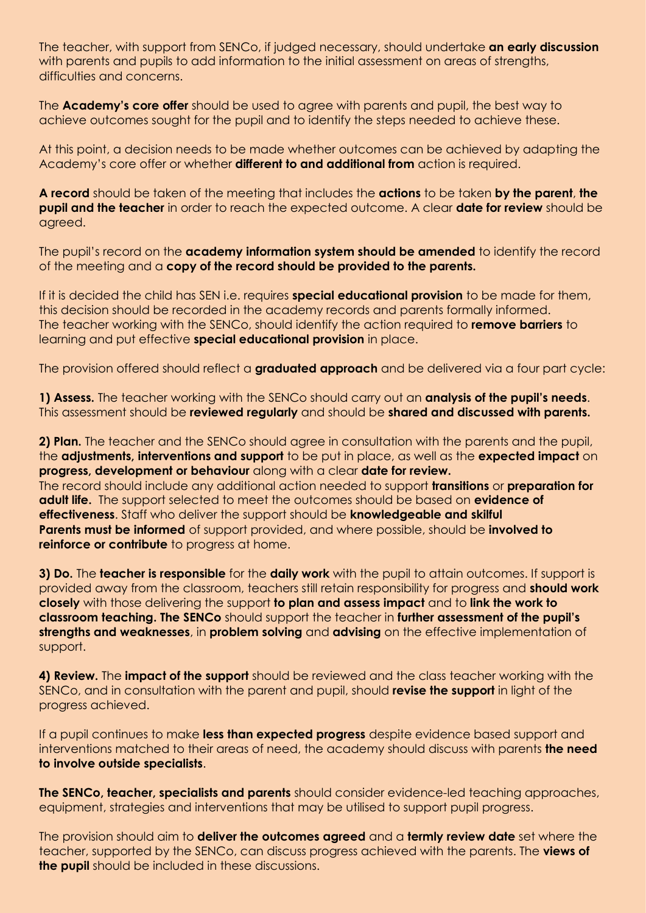The teacher, with support from SENCo, if judged necessary, should undertake **an early discussion**  with parents and pupils to add information to the initial assessment on areas of strengths, difficulties and concerns.

The **Academy's core offer** should be used to agree with parents and pupil, the best way to achieve outcomes sought for the pupil and to identify the steps needed to achieve these.

At this point, a decision needs to be made whether outcomes can be achieved by adapting the Academy's core offer or whether **different to and additional from** action is required.

**A record** should be taken of the meeting that includes the **actions** to be taken **by the parent**, **the pupil and the teacher** in order to reach the expected outcome. A clear **date for review** should be agreed.

The pupil's record on the **academy information system should be amended** to identify the record of the meeting and a **copy of the record should be provided to the parents.**

If it is decided the child has SEN i.e. requires **special educational provision** to be made for them, this decision should be recorded in the academy records and parents formally informed. The teacher working with the SENCo, should identify the action required to **remove barriers** to learning and put effective **special educational provision** in place.

The provision offered should reflect a **graduated approach** and be delivered via a four part cycle:

**1) Assess.** The teacher working with the SENCo should carry out an **analysis of the pupil's needs**. This assessment should be **reviewed regularly** and should be **shared and discussed with parents.**

**2) Plan.** The teacher and the SENCo should agree in consultation with the parents and the pupil, the **adjustments, interventions and support** to be put in place, as well as the **expected impact** on **progress, development or behaviour** along with a clear **date for review.** The record should include any additional action needed to support **transitions** or **preparation for adult life.** The support selected to meet the outcomes should be based on **evidence of effectiveness**. Staff who deliver the support should be **knowledgeable and skilful Parents must be informed** of support provided, and where possible, should be **involved to reinforce or contribute** to progress at home.

**3) Do.** The **teacher is responsible** for the **daily work** with the pupil to attain outcomes. If support is provided away from the classroom, teachers still retain responsibility for progress and **should work closely** with those delivering the support **to plan and assess impact** and to **link the work to classroom teaching. The SENCo** should support the teacher in **further assessment of the pupil's strengths and weaknesses**, in **problem solving** and **advising** on the effective implementation of support.

**4) Review.** The **impact of the support** should be reviewed and the class teacher working with the SENCo, and in consultation with the parent and pupil, should **revise the support** in light of the progress achieved.

If a pupil continues to make **less than expected progress** despite evidence based support and interventions matched to their areas of need, the academy should discuss with parents **the need to involve outside specialists**.

**The SENCo, teacher, specialists and parents** should consider evidence-led teaching approaches, equipment, strategies and interventions that may be utilised to support pupil progress.

The provision should aim to **deliver the outcomes agreed** and a **termly review date** set where the teacher, supported by the SENCo, can discuss progress achieved with the parents. The **views of the pupil** should be included in these discussions.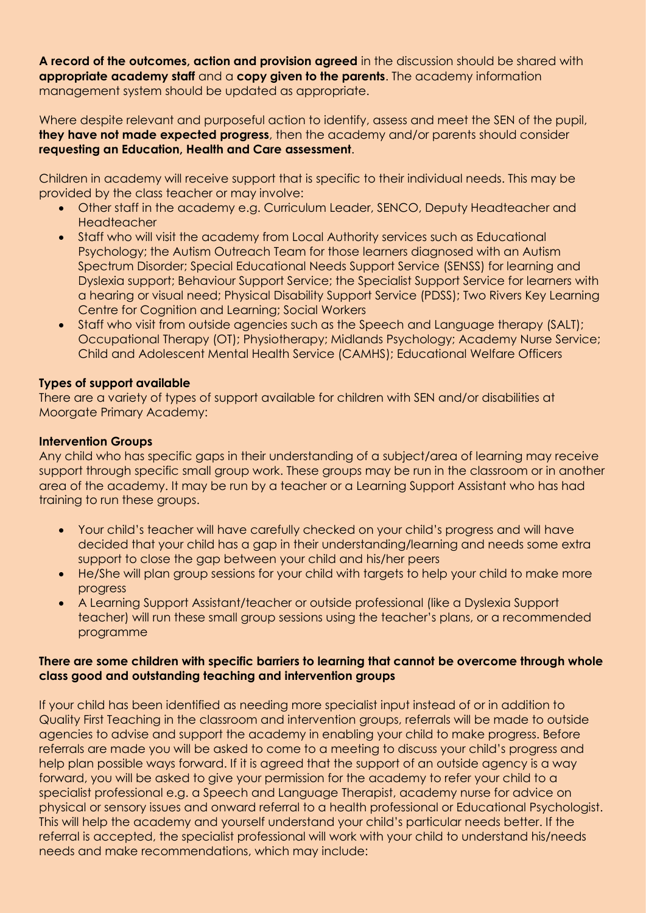**A record of the outcomes, action and provision agreed** in the discussion should be shared with **appropriate academy staff** and a **copy given to the parents**. The academy information management system should be updated as appropriate.

Where despite relevant and purposeful action to identify, assess and meet the SEN of the pupil, **they have not made expected progress**, then the academy and/or parents should consider **requesting an Education, Health and Care assessment**.

Children in academy will receive support that is specific to their individual needs. This may be provided by the class teacher or may involve:

- Other staff in the academy e.g. Curriculum Leader, SENCO, Deputy Headteacher and Headteacher
- Staff who will visit the academy from Local Authority services such as Educational Psychology; the Autism Outreach Team for those learners diagnosed with an Autism Spectrum Disorder; Special Educational Needs Support Service (SENSS) for learning and Dyslexia support; Behaviour Support Service; the Specialist Support Service for learners with a hearing or visual need; Physical Disability Support Service (PDSS); Two Rivers Key Learning Centre for Cognition and Learning; Social Workers
- Staff who visit from outside agencies such as the Speech and Language therapy (SALT); Occupational Therapy (OT); Physiotherapy; Midlands Psychology; Academy Nurse Service; Child and Adolescent Mental Health Service (CAMHS); Educational Welfare Officers

## **Types of support available**

There are a variety of types of support available for children with SEN and/or disabilities at Moorgate Primary Academy:

### **Intervention Groups**

Any child who has specific gaps in their understanding of a subject/area of learning may receive support through specific small group work. These groups may be run in the classroom or in another area of the academy. It may be run by a teacher or a Learning Support Assistant who has had training to run these groups.

- Your child's teacher will have carefully checked on your child's progress and will have decided that your child has a gap in their understanding/learning and needs some extra support to close the gap between your child and his/her peers
- He/She will plan group sessions for your child with targets to help your child to make more progress
- A Learning Support Assistant/teacher or outside professional (like a Dyslexia Support teacher) will run these small group sessions using the teacher's plans, or a recommended programme

# **There are some children with specific barriers to learning that cannot be overcome through whole class good and outstanding teaching and intervention groups**

If your child has been identified as needing more specialist input instead of or in addition to Quality First Teaching in the classroom and intervention groups, referrals will be made to outside agencies to advise and support the academy in enabling your child to make progress. Before referrals are made you will be asked to come to a meeting to discuss your child's progress and help plan possible ways forward. If it is agreed that the support of an outside agency is a way forward, you will be asked to give your permission for the academy to refer your child to a specialist professional e.g. a Speech and Language Therapist, academy nurse for advice on physical or sensory issues and onward referral to a health professional or Educational Psychologist. This will help the academy and yourself understand your child's particular needs better. If the referral is accepted, the specialist professional will work with your child to understand his/needs needs and make recommendations, which may include: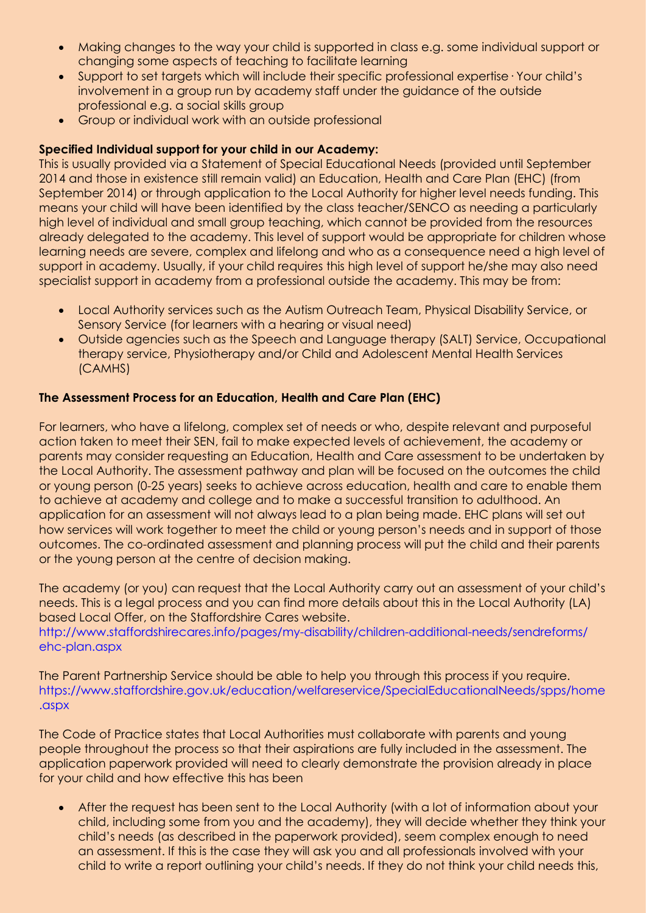- Making changes to the way your child is supported in class e.g. some individual support or changing some aspects of teaching to facilitate learning
- Support to set targets which will include their specific professional expertise· Your child's involvement in a group run by academy staff under the guidance of the outside professional e.g. a social skills group
- Group or individual work with an outside professional

## **Specified Individual support for your child in our Academy:**

This is usually provided via a Statement of Special Educational Needs (provided until September 2014 and those in existence still remain valid) an Education, Health and Care Plan (EHC) (from September 2014) or through application to the Local Authority for higher level needs funding. This means your child will have been identified by the class teacher/SENCO as needing a particularly high level of individual and small group teaching, which cannot be provided from the resources already delegated to the academy. This level of support would be appropriate for children whose learning needs are severe, complex and lifelong and who as a consequence need a high level of support in academy. Usually, if your child requires this high level of support he/she may also need specialist support in academy from a professional outside the academy. This may be from:

- Local Authority services such as the Autism Outreach Team, Physical Disability Service, or Sensory Service (for learners with a hearing or visual need)
- Outside agencies such as the Speech and Language therapy (SALT) Service, Occupational therapy service, Physiotherapy and/or Child and Adolescent Mental Health Services (CAMHS)

# **The Assessment Process for an Education, Health and Care Plan (EHC)**

For learners, who have a lifelong, complex set of needs or who, despite relevant and purposeful action taken to meet their SEN, fail to make expected levels of achievement, the academy or parents may consider requesting an Education, Health and Care assessment to be undertaken by the Local Authority. The assessment pathway and plan will be focused on the outcomes the child or young person (0-25 years) seeks to achieve across education, health and care to enable them to achieve at academy and college and to make a successful transition to adulthood. An application for an assessment will not always lead to a plan being made. EHC plans will set out how services will work together to meet the child or young person's needs and in support of those outcomes. The co-ordinated assessment and planning process will put the child and their parents or the young person at the centre of decision making.

The academy (or you) can request that the Local Authority carry out an assessment of your child's needs. This is a legal process and you can find more details about this in the Local Authority (LA) based Local Offer, on the Staffordshire Cares website.

http://www.staffordshirecares.info/pages/my-disability/children-additional-needs/sendreforms/ ehc-plan.aspx

The Parent Partnership Service should be able to help you through this process if you require. https://www.staffordshire.gov.uk/education/welfareservice/SpecialEducationalNeeds/spps/home .aspx

The Code of Practice states that Local Authorities must collaborate with parents and young people throughout the process so that their aspirations are fully included in the assessment. The application paperwork provided will need to clearly demonstrate the provision already in place for your child and how effective this has been

 After the request has been sent to the Local Authority (with a lot of information about your child, including some from you and the academy), they will decide whether they think your child's needs (as described in the paperwork provided), seem complex enough to need an assessment. If this is the case they will ask you and all professionals involved with your child to write a report outlining your child's needs. If they do not think your child needs this,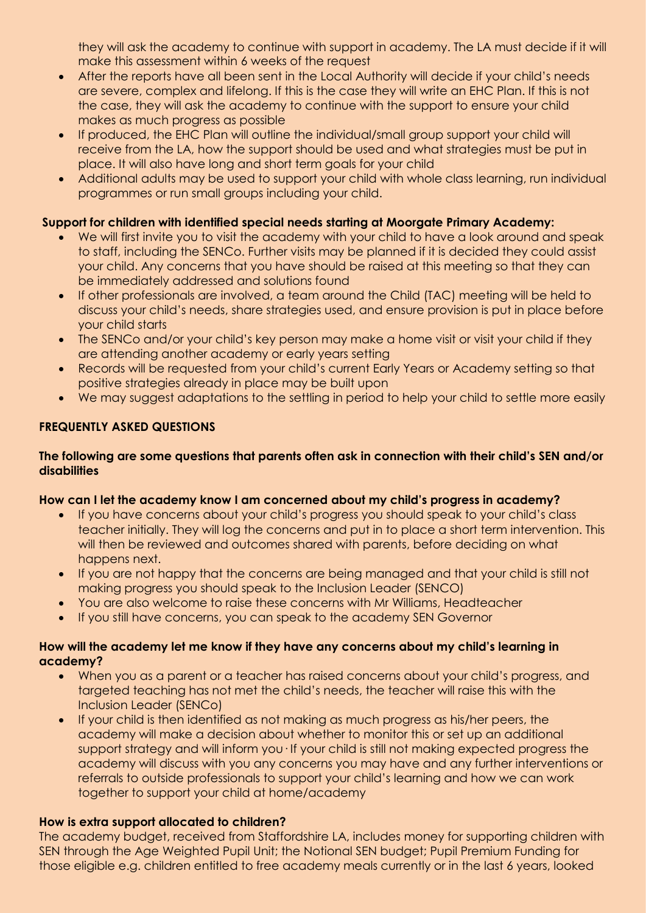they will ask the academy to continue with support in academy. The LA must decide if it will make this assessment within 6 weeks of the request

- After the reports have all been sent in the Local Authority will decide if your child's needs are severe, complex and lifelong. If this is the case they will write an EHC Plan. If this is not the case, they will ask the academy to continue with the support to ensure your child makes as much progress as possible
- If produced, the EHC Plan will outline the individual/small group support your child will receive from the LA, how the support should be used and what strategies must be put in place. It will also have long and short term goals for your child
- Additional adults may be used to support your child with whole class learning, run individual programmes or run small groups including your child.

# **Support for children with identified special needs starting at Moorgate Primary Academy:**

- We will first invite you to visit the academy with your child to have a look around and speak to staff, including the SENCo. Further visits may be planned if it is decided they could assist your child. Any concerns that you have should be raised at this meeting so that they can be immediately addressed and solutions found
- If other professionals are involved, a team around the Child (TAC) meeting will be held to discuss your child's needs, share strategies used, and ensure provision is put in place before your child starts
- The SENCo and/or your child's key person may make a home visit or visit your child if they are attending another academy or early years setting
- Records will be requested from your child's current Early Years or Academy setting so that positive strategies already in place may be built upon
- We may suggest adaptations to the settling in period to help your child to settle more easily

# **FREQUENTLY ASKED QUESTIONS**

## **The following are some questions that parents often ask in connection with their child's SEN and/or disabilities**

# **How can I let the academy know I am concerned about my child's progress in academy?**

- If you have concerns about your child's progress you should speak to your child's class teacher initially. They will log the concerns and put in to place a short term intervention. This will then be reviewed and outcomes shared with parents, before deciding on what happens next.
- If you are not happy that the concerns are being managed and that your child is still not making progress you should speak to the Inclusion Leader (SENCO)
- You are also welcome to raise these concerns with Mr Williams, Headteacher
- If you still have concerns, you can speak to the academy SEN Governor

# **How will the academy let me know if they have any concerns about my child's learning in academy?**

- When you as a parent or a teacher has raised concerns about your child's progress, and targeted teaching has not met the child's needs, the teacher will raise this with the Inclusion Leader (SENCo)
- If your child is then identified as not making as much progress as his/her peers, the academy will make a decision about whether to monitor this or set up an additional support strategy and will inform you· If your child is still not making expected progress the academy will discuss with you any concerns you may have and any further interventions or referrals to outside professionals to support your child's learning and how we can work together to support your child at home/academy

# **How is extra support allocated to children?**

The academy budget, received from Staffordshire LA, includes money for supporting children with SEN through the Age Weighted Pupil Unit; the Notional SEN budget; Pupil Premium Funding for those eligible e.g. children entitled to free academy meals currently or in the last 6 years, looked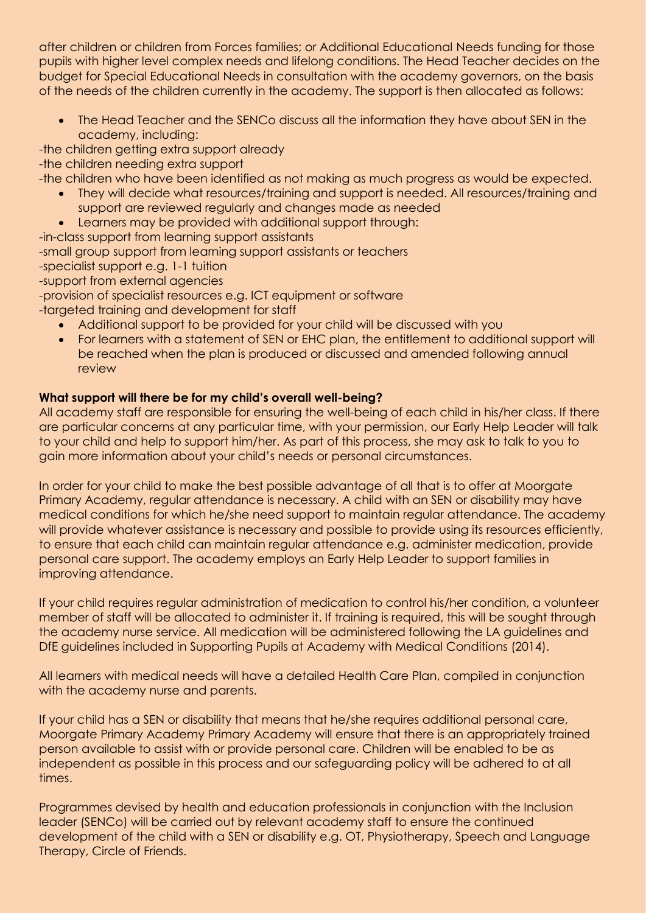after children or children from Forces families; or Additional Educational Needs funding for those pupils with higher level complex needs and lifelong conditions. The Head Teacher decides on the budget for Special Educational Needs in consultation with the academy governors, on the basis of the needs of the children currently in the academy. The support is then allocated as follows:

 The Head Teacher and the SENCo discuss all the information they have about SEN in the academy, including:

-the children getting extra support already -the children needing extra support

-the children who have been identified as not making as much progress as would be expected.

- They will decide what resources/training and support is needed. All resources/training and support are reviewed regularly and changes made as needed
- Learners may be provided with additional support through:

-in-class support from learning support assistants -small group support from learning support assistants or teachers -specialist support e.g. 1-1 tuition -support from external agencies -provision of specialist resources e.g. ICT equipment or software

- -targeted training and development for staff
	- Additional support to be provided for your child will be discussed with you
	- For learners with a statement of SEN or EHC plan, the entitlement to additional support will be reached when the plan is produced or discussed and amended following annual review

# **What support will there be for my child's overall well-being?**

All academy staff are responsible for ensuring the well-being of each child in his/her class. If there are particular concerns at any particular time, with your permission, our Early Help Leader will talk to your child and help to support him/her. As part of this process, she may ask to talk to you to gain more information about your child's needs or personal circumstances.

In order for your child to make the best possible advantage of all that is to offer at Moorgate Primary Academy, regular attendance is necessary. A child with an SEN or disability may have medical conditions for which he/she need support to maintain regular attendance. The academy will provide whatever assistance is necessary and possible to provide using its resources efficiently, to ensure that each child can maintain regular attendance e.g. administer medication, provide personal care support. The academy employs an Early Help Leader to support families in improving attendance.

If your child requires regular administration of medication to control his/her condition, a volunteer member of staff will be allocated to administer it. If training is required, this will be sought through the academy nurse service. All medication will be administered following the LA guidelines and DfE guidelines included in Supporting Pupils at Academy with Medical Conditions (2014).

All learners with medical needs will have a detailed Health Care Plan, compiled in conjunction with the academy nurse and parents.

If your child has a SEN or disability that means that he/she requires additional personal care, Moorgate Primary Academy Primary Academy will ensure that there is an appropriately trained person available to assist with or provide personal care. Children will be enabled to be as independent as possible in this process and our safeguarding policy will be adhered to at all times.

Programmes devised by health and education professionals in conjunction with the Inclusion leader (SENCo) will be carried out by relevant academy staff to ensure the continued development of the child with a SEN or disability e.g. OT, Physiotherapy, Speech and Language Therapy, Circle of Friends.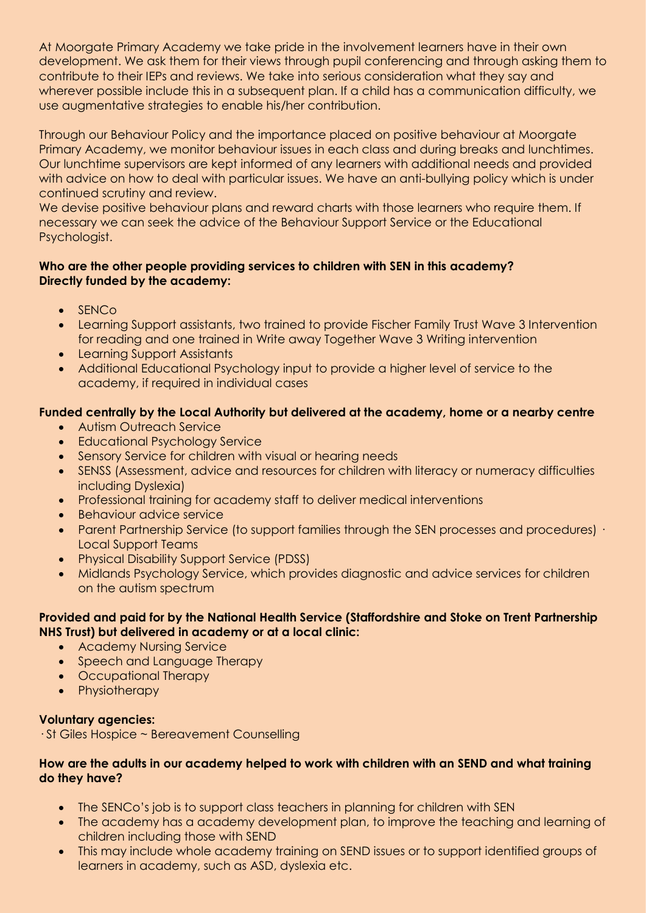At Moorgate Primary Academy we take pride in the involvement learners have in their own development. We ask them for their views through pupil conferencing and through asking them to contribute to their IEPs and reviews. We take into serious consideration what they say and wherever possible include this in a subsequent plan. If a child has a communication difficulty, we use augmentative strategies to enable his/her contribution.

Through our Behaviour Policy and the importance placed on positive behaviour at Moorgate Primary Academy, we monitor behaviour issues in each class and during breaks and lunchtimes. Our lunchtime supervisors are kept informed of any learners with additional needs and provided with advice on how to deal with particular issues. We have an anti-bullying policy which is under continued scrutiny and review.

We devise positive behaviour plans and reward charts with those learners who require them. If necessary we can seek the advice of the Behaviour Support Service or the Educational Psychologist.

# **Who are the other people providing services to children with SEN in this academy? Directly funded by the academy:**

- SENCo
- Learning Support assistants, two trained to provide Fischer Family Trust Wave 3 Intervention for reading and one trained in Write away Together Wave 3 Writing intervention
- Learning Support Assistants
- Additional Educational Psychology input to provide a higher level of service to the academy, if required in individual cases

# **Funded centrally by the Local Authority but delivered at the academy, home or a nearby centre**

- Autism Outreach Service
- Educational Psychology Service
- **•** Sensory Service for children with visual or hearing needs
- SENSS (Assessment, advice and resources for children with literacy or numeracy difficulties including Dyslexia)
- Professional training for academy staff to deliver medical interventions
- Behaviour advice service
- Parent Partnership Service (to support families through the SEN processes and procedures) · Local Support Teams
- Physical Disability Support Service (PDSS)
- Midlands Psychology Service, which provides diagnostic and advice services for children on the autism spectrum

# **Provided and paid for by the National Health Service (Staffordshire and Stoke on Trent Partnership NHS Trust) but delivered in academy or at a local clinic:**

- **Academy Nursing Service**
- Speech and Language Therapy
- Occupational Therapy
- Physiotherapy

# **Voluntary agencies:**

· St Giles Hospice ~ Bereavement Counselling

## **How are the adults in our academy helped to work with children with an SEND and what training do they have?**

- The SENCo's job is to support class teachers in planning for children with SEN
- The academy has a academy development plan, to improve the teaching and learning of children including those with SEND
- This may include whole academy training on SEND issues or to support identified groups of learners in academy, such as ASD, dyslexia etc.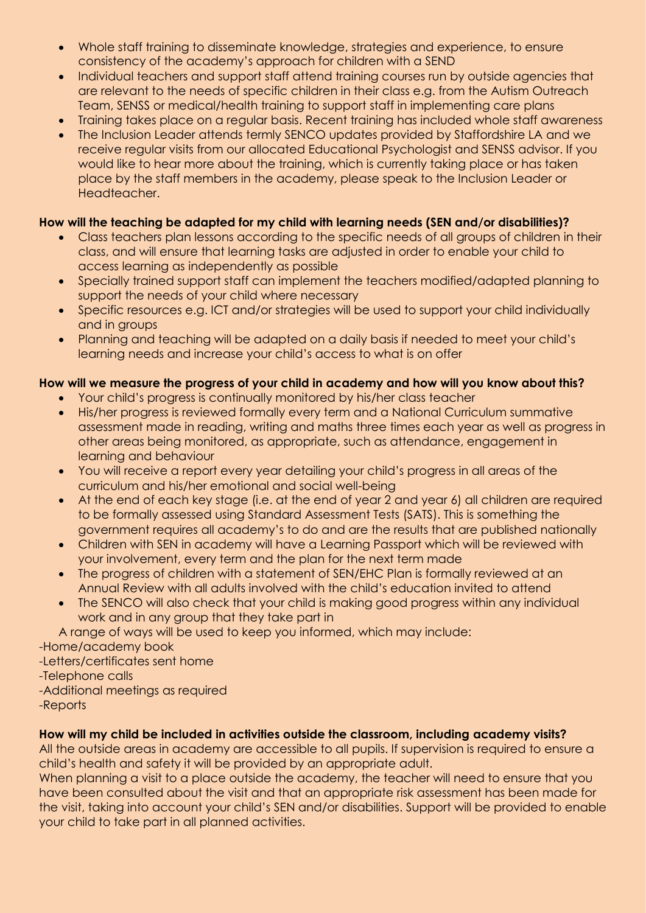- Whole staff training to disseminate knowledge, strategies and experience, to ensure consistency of the academy's approach for children with a SEND
- Individual teachers and support staff attend training courses run by outside agencies that are relevant to the needs of specific children in their class e.g. from the Autism Outreach Team, SENSS or medical/health training to support staff in implementing care plans
- Training takes place on a regular basis. Recent training has included whole staff awareness
- The Inclusion Leader attends termly SENCO updates provided by Staffordshire LA and we receive regular visits from our allocated Educational Psychologist and SENSS advisor. If you would like to hear more about the training, which is currently taking place or has taken place by the staff members in the academy, please speak to the Inclusion Leader or Headteacher.

# **How will the teaching be adapted for my child with learning needs (SEN and/or disabilities)?**

- Class teachers plan lessons according to the specific needs of all groups of children in their class, and will ensure that learning tasks are adjusted in order to enable your child to access learning as independently as possible
- Specially trained support staff can implement the teachers modified/adapted planning to support the needs of your child where necessary
- Specific resources e.g. ICT and/or strategies will be used to support your child individually and in groups
- Planning and teaching will be adapted on a daily basis if needed to meet your child's learning needs and increase your child's access to what is on offer

# **How will we measure the progress of your child in academy and how will you know about this?**

- Your child's progress is continually monitored by his/her class teacher
- His/her progress is reviewed formally every term and a National Curriculum summative assessment made in reading, writing and maths three times each year as well as progress in other areas being monitored, as appropriate, such as attendance, engagement in learning and behaviour
- You will receive a report every year detailing your child's progress in all areas of the curriculum and his/her emotional and social well-being
- At the end of each key stage (i.e. at the end of year 2 and year 6) all children are required to be formally assessed using Standard Assessment Tests (SATS). This is something the government requires all academy's to do and are the results that are published nationally
- Children with SEN in academy will have a Learning Passport which will be reviewed with your involvement, every term and the plan for the next term made
- The progress of children with a statement of SEN/EHC Plan is formally reviewed at an Annual Review with all adults involved with the child's education invited to attend
- The SENCO will also check that your child is making good progress within any individual work and in any group that they take part in

A range of ways will be used to keep you informed, which may include:

-Home/academy book

-Letters/certificates sent home

-Telephone calls

-Additional meetings as required

-Reports

# **How will my child be included in activities outside the classroom, including academy visits?**

All the outside areas in academy are accessible to all pupils. If supervision is required to ensure a child's health and safety it will be provided by an appropriate adult.

When planning a visit to a place outside the academy, the teacher will need to ensure that you have been consulted about the visit and that an appropriate risk assessment has been made for the visit, taking into account your child's SEN and/or disabilities. Support will be provided to enable your child to take part in all planned activities.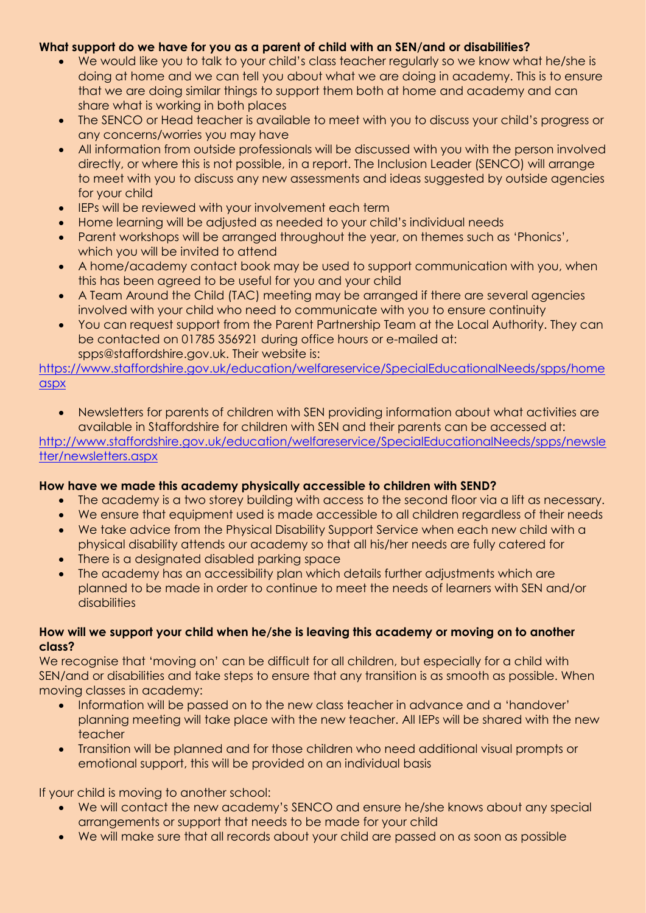# **What support do we have for you as a parent of child with an SEN/and or disabilities?**

- We would like you to talk to your child's class teacher regularly so we know what he/she is doing at home and we can tell you about what we are doing in academy. This is to ensure that we are doing similar things to support them both at home and academy and can share what is working in both places
- The SENCO or Head teacher is available to meet with you to discuss your child's progress or any concerns/worries you may have
- All information from outside professionals will be discussed with you with the person involved directly, or where this is not possible, in a report. The Inclusion Leader (SENCO) will arrange to meet with you to discuss any new assessments and ideas suggested by outside agencies for your child
- IEPs will be reviewed with your involvement each term
- Home learning will be adjusted as needed to your child's individual needs
- Parent workshops will be arranged throughout the year, on themes such as 'Phonics', which you will be invited to attend
- A home/academy contact book may be used to support communication with you, when this has been agreed to be useful for you and your child
- A Team Around the Child (TAC) meeting may be arranged if there are several agencies involved with your child who need to communicate with you to ensure continuity
- You can request support from the Parent Partnership Team at the Local Authority. They can be contacted on 01785 356921 during office hours or e-mailed at: spps@staffordshire.gov.uk. Their website is:

[https://www.staffordshire.gov.uk/education/welfareservice/SpecialEducationalNeeds/spps/home](https://www.staffordshire.gov.uk/education/welfareservice/SpecialEducationalNeeds/spps/homeaspx) [aspx](https://www.staffordshire.gov.uk/education/welfareservice/SpecialEducationalNeeds/spps/homeaspx)

 Newsletters for parents of children with SEN providing information about what activities are available in Staffordshire for children with SEN and their parents can be accessed at: [http://www.staffordshire.gov.uk/education/welfareservice/SpecialEducationalNeeds/spps/newsle](http://www.staffordshire.gov.uk/education/welfareservice/SpecialEducationalNeeds/spps/newsletter/newsletters.aspx) [tter/newsletters.aspx](http://www.staffordshire.gov.uk/education/welfareservice/SpecialEducationalNeeds/spps/newsletter/newsletters.aspx)

# **How have we made this academy physically accessible to children with SEND?**

- The academy is a two storey building with access to the second floor via a lift as necessary.
- We ensure that equipment used is made accessible to all children regardless of their needs
- We take advice from the Physical Disability Support Service when each new child with a physical disability attends our academy so that all his/her needs are fully catered for
- There is a designated disabled parking space
- The academy has an accessibility plan which details further adjustments which are planned to be made in order to continue to meet the needs of learners with SEN and/or **disabilities**

## **How will we support your child when he/she is leaving this academy or moving on to another class?**

We recognise that 'moving on' can be difficult for all children, but especially for a child with SEN/and or disabilities and take steps to ensure that any transition is as smooth as possible. When moving classes in academy:

- Information will be passed on to the new class teacher in advance and a 'handover' planning meeting will take place with the new teacher. All IEPs will be shared with the new teacher
- Transition will be planned and for those children who need additional visual prompts or emotional support, this will be provided on an individual basis

If your child is moving to another school:

- We will contact the new academy's SENCO and ensure he/she knows about any special arrangements or support that needs to be made for your child
- We will make sure that all records about your child are passed on as soon as possible